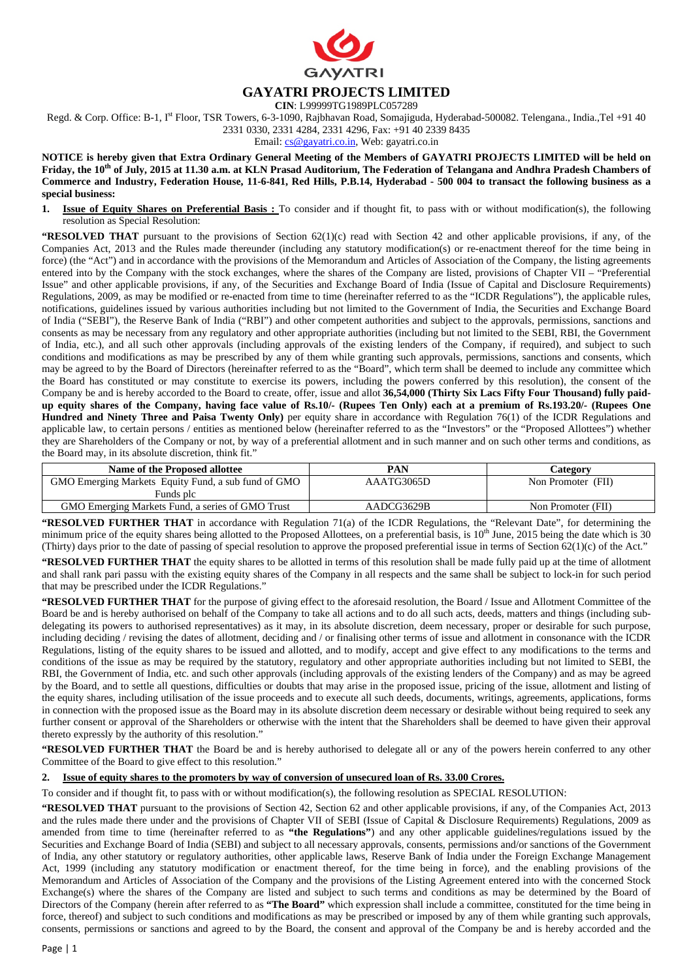

# **GAYATRI PROJECTS LIMITED**

**CIN**: L99999TG1989PLC057289

Regd. & Corp. Office: B-1, I<sup>st</sup> Floor, TSR Towers, 6-3-1090, Rajbhavan Road, Somajiguda, Hyderabad-500082. Telengana., India.,Tel +91 40 2331 0330, 2331 4284, 2331 4296, Fax: +91 40 2339 8435

Email: cs@gayatri.co.in, Web: gayatri.co.in

**NOTICE is hereby given that Extra Ordinary General Meeting of the Members of GAYATRI PROJECTS LIMITED will be held on Friday, the 10th of July, 2015 at 11.30 a.m. at KLN Prasad Auditorium, The Federation of Telangana and Andhra Pradesh Chambers of Commerce and Industry, Federation House, 11-6-841, Red Hills, P.B.14, Hyderabad - 500 004 to transact the following business as a special business:** 

**1. Issue of Equity Shares on Preferential Basis :** To consider and if thought fit, to pass with or without modification(s), the following resolution as Special Resolution:

**"RESOLVED THAT** pursuant to the provisions of Section 62(1)(c) read with Section 42 and other applicable provisions, if any, of the Companies Act, 2013 and the Rules made thereunder (including any statutory modification(s) or re-enactment thereof for the time being in force) (the "Act") and in accordance with the provisions of the Memorandum and Articles of Association of the Company, the listing agreements entered into by the Company with the stock exchanges, where the shares of the Company are listed, provisions of Chapter VII – "Preferential Issue" and other applicable provisions, if any, of the Securities and Exchange Board of India (Issue of Capital and Disclosure Requirements) Regulations, 2009, as may be modified or re-enacted from time to time (hereinafter referred to as the "ICDR Regulations"), the applicable rules, notifications, guidelines issued by various authorities including but not limited to the Government of India, the Securities and Exchange Board of India ("SEBI"), the Reserve Bank of India ("RBI") and other competent authorities and subject to the approvals, permissions, sanctions and consents as may be necessary from any regulatory and other appropriate authorities (including but not limited to the SEBI, RBI, the Government of India, etc.), and all such other approvals (including approvals of the existing lenders of the Company, if required), and subject to such conditions and modifications as may be prescribed by any of them while granting such approvals, permissions, sanctions and consents, which may be agreed to by the Board of Directors (hereinafter referred to as the "Board", which term shall be deemed to include any committee which the Board has constituted or may constitute to exercise its powers, including the powers conferred by this resolution), the consent of the Company be and is hereby accorded to the Board to create, offer, issue and allot **36,54,000 (Thirty Six Lacs Fifty Four Thousand) fully paidup equity shares of the Company, having face value of Rs.10/- (Rupees Ten Only) each at a premium of Rs.193.20/- (Rupees One Hundred and Ninety Three and Paisa Twenty Only)** per equity share in accordance with Regulation 76(1) of the ICDR Regulations and applicable law, to certain persons / entities as mentioned below (hereinafter referred to as the "Investors" or the "Proposed Allottees") whether they are Shareholders of the Company or not, by way of a preferential allotment and in such manner and on such other terms and conditions, as the Board may, in its absolute discretion, think fit."

| Name of the Proposed allottee                       | PAN        | <b>Category</b>    |
|-----------------------------------------------------|------------|--------------------|
| GMO Emerging Markets Equity Fund, a sub fund of GMO | AAATG3065D | Non Promoter (FII) |
| Funds plc                                           |            |                    |
| GMO Emerging Markets Fund, a series of GMO Trust    | AADCG3629B | Non Promoter (FII) |

**"RESOLVED FURTHER THAT** in accordance with Regulation 71(a) of the ICDR Regulations, the "Relevant Date", for determining the minimum price of the equity shares being allotted to the Proposed Allottees, on a preferential basis, is  $10<sup>th</sup>$  June, 2015 being the date which is 30 (Thirty) days prior to the date of passing of special resolution to approve the proposed preferential issue in terms of Section 62(1)(c) of the Act."

**"RESOLVED FURTHER THAT** the equity shares to be allotted in terms of this resolution shall be made fully paid up at the time of allotment and shall rank pari passu with the existing equity shares of the Company in all respects and the same shall be subject to lock-in for such period that may be prescribed under the ICDR Regulations."

**"RESOLVED FURTHER THAT** for the purpose of giving effect to the aforesaid resolution, the Board / Issue and Allotment Committee of the Board be and is hereby authorised on behalf of the Company to take all actions and to do all such acts, deeds, matters and things (including subdelegating its powers to authorised representatives) as it may, in its absolute discretion, deem necessary, proper or desirable for such purpose, including deciding / revising the dates of allotment, deciding and / or finalising other terms of issue and allotment in consonance with the ICDR Regulations, listing of the equity shares to be issued and allotted, and to modify, accept and give effect to any modifications to the terms and conditions of the issue as may be required by the statutory, regulatory and other appropriate authorities including but not limited to SEBI, the RBI, the Government of India, etc. and such other approvals (including approvals of the existing lenders of the Company) and as may be agreed by the Board, and to settle all questions, difficulties or doubts that may arise in the proposed issue, pricing of the issue, allotment and listing of the equity shares, including utilisation of the issue proceeds and to execute all such deeds, documents, writings, agreements, applications, forms in connection with the proposed issue as the Board may in its absolute discretion deem necessary or desirable without being required to seek any further consent or approval of the Shareholders or otherwise with the intent that the Shareholders shall be deemed to have given their approval thereto expressly by the authority of this resolution."

**"RESOLVED FURTHER THAT** the Board be and is hereby authorised to delegate all or any of the powers herein conferred to any other Committee of the Board to give effect to this resolution."

## **2. Issue of equity shares to the promoters by way of conversion of unsecured loan of Rs. 33.00 Crores.**

To consider and if thought fit, to pass with or without modification(s), the following resolution as SPECIAL RESOLUTION:

**"RESOLVED THAT** pursuant to the provisions of Section 42, Section 62 and other applicable provisions, if any, of the Companies Act, 2013 and the rules made there under and the provisions of Chapter VII of SEBI (Issue of Capital & Disclosure Requirements) Regulations, 2009 as amended from time to time (hereinafter referred to as **"the Regulations"**) and any other applicable guidelines/regulations issued by the Securities and Exchange Board of India (SEBI) and subject to all necessary approvals, consents, permissions and/or sanctions of the Government of India, any other statutory or regulatory authorities, other applicable laws, Reserve Bank of India under the Foreign Exchange Management Act, 1999 (including any statutory modification or enactment thereof, for the time being in force), and the enabling provisions of the Memorandum and Articles of Association of the Company and the provisions of the Listing Agreement entered into with the concerned Stock Exchange(s) where the shares of the Company are listed and subject to such terms and conditions as may be determined by the Board of Directors of the Company (herein after referred to as **"The Board"** which expression shall include a committee, constituted for the time being in force, thereof) and subject to such conditions and modifications as may be prescribed or imposed by any of them while granting such approvals, consents, permissions or sanctions and agreed to by the Board, the consent and approval of the Company be and is hereby accorded and the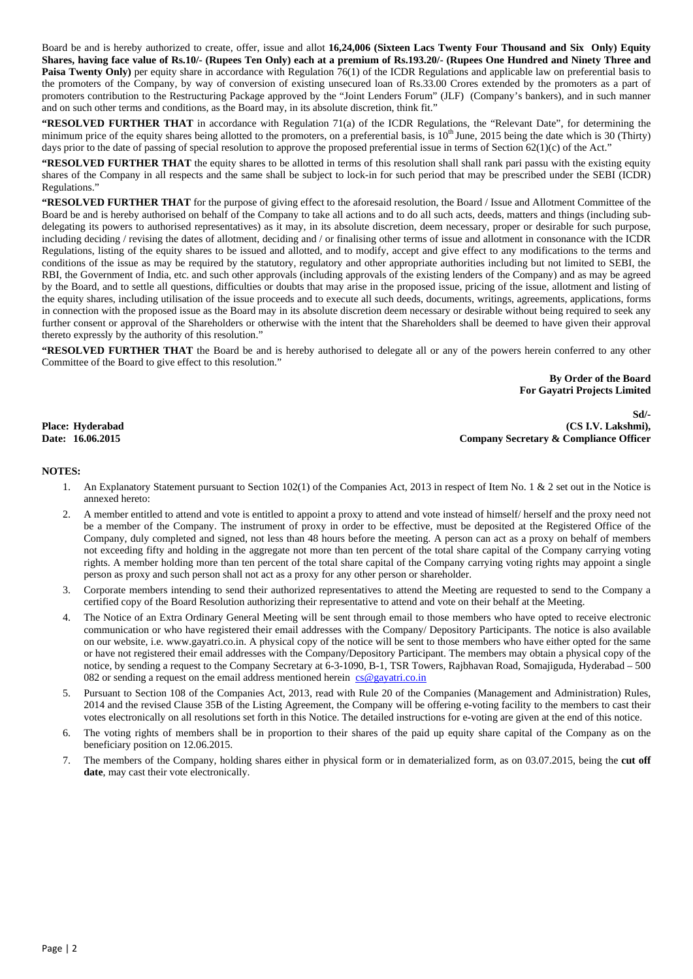Board be and is hereby authorized to create, offer, issue and allot **16,24,006 (Sixteen Lacs Twenty Four Thousand and Six Only) Equity Shares, having face value of Rs.10/- (Rupees Ten Only) each at a premium of Rs.193.20/- (Rupees One Hundred and Ninety Three and Paisa Twenty Only**) per equity share in accordance with Regulation 76(1) of the ICDR Regulations and applicable law on preferential basis to the promoters of the Company, by way of conversion of existing unsecured loan of Rs.33.00 Crores extended by the promoters as a part of promoters contribution to the Restructuring Package approved by the "Joint Lenders Forum" (JLF) (Company's bankers), and in such manner and on such other terms and conditions, as the Board may, in its absolute discretion, think fit."

**"RESOLVED FURTHER THAT** in accordance with Regulation 71(a) of the ICDR Regulations, the "Relevant Date", for determining the minimum price of the equity shares being allotted to the promoters, on a preferential basis, is  $10^{th}$  June, 2015 being the date which is 30 (Thirty) days prior to the date of passing of special resolution to approve the proposed preferential issue in terms of Section 62(1)(c) of the Act."

**"RESOLVED FURTHER THAT** the equity shares to be allotted in terms of this resolution shall shall rank pari passu with the existing equity shares of the Company in all respects and the same shall be subject to lock-in for such period that may be prescribed under the SEBI (ICDR) Regulations."

**"RESOLVED FURTHER THAT** for the purpose of giving effect to the aforesaid resolution, the Board / Issue and Allotment Committee of the Board be and is hereby authorised on behalf of the Company to take all actions and to do all such acts, deeds, matters and things (including subdelegating its powers to authorised representatives) as it may, in its absolute discretion, deem necessary, proper or desirable for such purpose, including deciding / revising the dates of allotment, deciding and / or finalising other terms of issue and allotment in consonance with the ICDR Regulations, listing of the equity shares to be issued and allotted, and to modify, accept and give effect to any modifications to the terms and conditions of the issue as may be required by the statutory, regulatory and other appropriate authorities including but not limited to SEBI, the RBI, the Government of India, etc. and such other approvals (including approvals of the existing lenders of the Company) and as may be agreed by the Board, and to settle all questions, difficulties or doubts that may arise in the proposed issue, pricing of the issue, allotment and listing of the equity shares, including utilisation of the issue proceeds and to execute all such deeds, documents, writings, agreements, applications, forms in connection with the proposed issue as the Board may in its absolute discretion deem necessary or desirable without being required to seek any further consent or approval of the Shareholders or otherwise with the intent that the Shareholders shall be deemed to have given their approval thereto expressly by the authority of this resolution."

**"RESOLVED FURTHER THAT** the Board be and is hereby authorised to delegate all or any of the powers herein conferred to any other Committee of the Board to give effect to this resolution."

> **By Order of the Board For Gayatri Projects Limited**

**Place: Hyderabad Date: 16.06.2015** 

**Sd/- (CS I.V. Lakshmi), Company Secretary & Compliance Officer** 

### **NOTES:**

- 1. An Explanatory Statement pursuant to Section 102(1) of the Companies Act, 2013 in respect of Item No. 1 & 2 set out in the Notice is annexed hereto:
- 2. A member entitled to attend and vote is entitled to appoint a proxy to attend and vote instead of himself/ herself and the proxy need not be a member of the Company. The instrument of proxy in order to be effective, must be deposited at the Registered Office of the Company, duly completed and signed, not less than 48 hours before the meeting. A person can act as a proxy on behalf of members not exceeding fifty and holding in the aggregate not more than ten percent of the total share capital of the Company carrying voting rights. A member holding more than ten percent of the total share capital of the Company carrying voting rights may appoint a single person as proxy and such person shall not act as a proxy for any other person or shareholder.
- 3. Corporate members intending to send their authorized representatives to attend the Meeting are requested to send to the Company a certified copy of the Board Resolution authorizing their representative to attend and vote on their behalf at the Meeting.
- 4. The Notice of an Extra Ordinary General Meeting will be sent through email to those members who have opted to receive electronic communication or who have registered their email addresses with the Company/ Depository Participants. The notice is also available on our website, i.e. www.gayatri.co.in. A physical copy of the notice will be sent to those members who have either opted for the same or have not registered their email addresses with the Company/Depository Participant. The members may obtain a physical copy of the notice, by sending a request to the Company Secretary at 6-3-1090, B-1, TSR Towers, Rajbhavan Road, Somajiguda, Hyderabad – 500 082 or sending a request on the email address mentioned herein  $cs@gayatri.co.in$
- 5. Pursuant to Section 108 of the Companies Act, 2013, read with Rule 20 of the Companies (Management and Administration) Rules, 2014 and the revised Clause 35B of the Listing Agreement, the Company will be offering e-voting facility to the members to cast their votes electronically on all resolutions set forth in this Notice. The detailed instructions for e-voting are given at the end of this notice.
- 6. The voting rights of members shall be in proportion to their shares of the paid up equity share capital of the Company as on the beneficiary position on 12.06.2015.
- 7. The members of the Company, holding shares either in physical form or in dematerialized form, as on 03.07.2015, being the **cut off date**, may cast their vote electronically.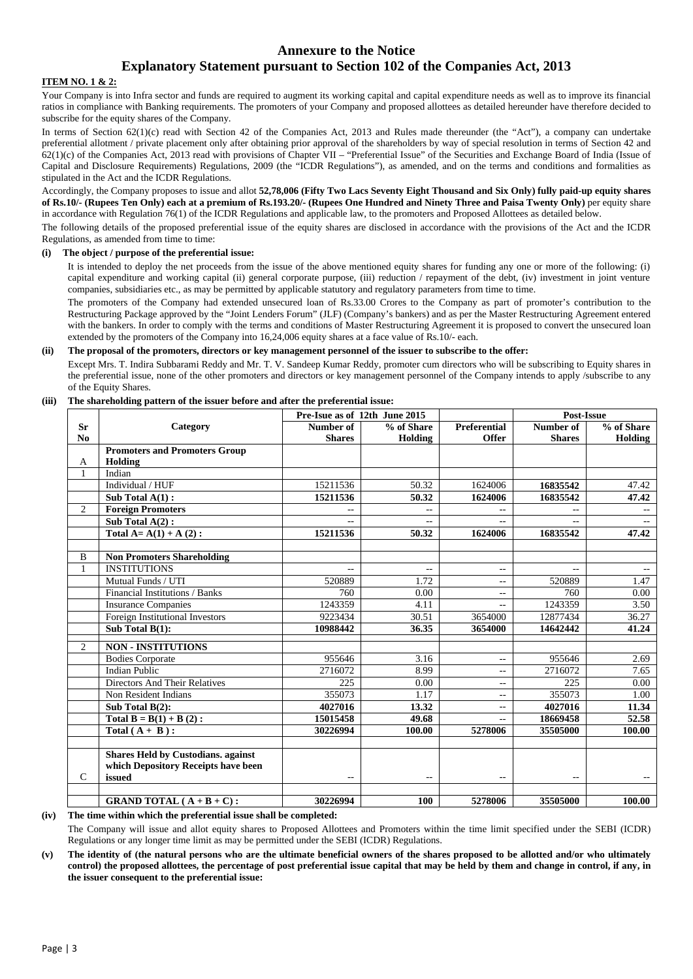## **Explanatory Statement pursuant to Section 102 of the Companies Act, 2013**

## **ITEM NO. 1 & 2:**

Your Company is into Infra sector and funds are required to augment its working capital and capital expenditure needs as well as to improve its financial ratios in compliance with Banking requirements. The promoters of your Company and proposed allottees as detailed hereunder have therefore decided to subscribe for the equity shares of the Company.

In terms of Section 62(1)(c) read with Section 42 of the Companies Act, 2013 and Rules made thereunder (the "Act"), a company can undertake preferential allotment / private placement only after obtaining prior approval of the shareholders by way of special resolution in terms of Section 42 and 62(1)(c) of the Companies Act, 2013 read with provisions of Chapter VII – "Preferential Issue" of the Securities and Exchange Board of India (Issue of Capital and Disclosure Requirements) Regulations, 2009 (the "ICDR Regulations"), as amended, and on the terms and conditions and formalities as stipulated in the Act and the ICDR Regulations.

Accordingly, the Company proposes to issue and allot **52,78,006 (Fifty Two Lacs Seventy Eight Thousand and Six Only) fully paid-up equity shares of Rs.10/- (Rupees Ten Only) each at a premium of Rs.193.20/- (Rupees One Hundred and Ninety Three and Paisa Twenty Only)** per equity share in accordance with Regulation 76(1) of the ICDR Regulations and applicable law, to the promoters and Proposed Allottees as detailed below.

The following details of the proposed preferential issue of the equity shares are disclosed in accordance with the provisions of the Act and the ICDR Regulations, as amended from time to time:

#### **(i) The object / purpose of the preferential issue:**

It is intended to deploy the net proceeds from the issue of the above mentioned equity shares for funding any one or more of the following: (i) capital expenditure and working capital (ii) general corporate purpose, (iii) reduction / repayment of the debt, (iv) investment in joint venture companies, subsidiaries etc., as may be permitted by applicable statutory and regulatory parameters from time to time.

The promoters of the Company had extended unsecured loan of Rs.33.00 Crores to the Company as part of promoter's contribution to the Restructuring Package approved by the "Joint Lenders Forum" (JLF) (Company's bankers) and as per the Master Restructuring Agreement entered with the bankers. In order to comply with the terms and conditions of Master Restructuring Agreement it is proposed to convert the unsecured loan extended by the promoters of the Company into 16,24,006 equity shares at a face value of Rs.10/- each.

#### **(ii) The proposal of the promoters, directors or key management personnel of the issuer to subscribe to the offer:**

Except Mrs. T. Indira Subbarami Reddy and Mr. T. V. Sandeep Kumar Reddy, promoter cum directors who will be subscribing to Equity shares in the preferential issue, none of the other promoters and directors or key management personnel of the Company intends to apply /subscribe to any of the Equity Shares.

#### **(iii) The shareholding pattern of the issuer before and after the preferential issue:**

|                |                                              | Pre-Isue as of 12th June 2015 |                |                     | <b>Post-Issue</b> |            |
|----------------|----------------------------------------------|-------------------------------|----------------|---------------------|-------------------|------------|
| Sr             | Category                                     | Number of                     | % of Share     | <b>Preferential</b> | Number of         | % of Share |
| No             |                                              | <b>Shares</b>                 | Holding        | <b>Offer</b>        | <b>Shares</b>     | Holding    |
|                | <b>Promoters and Promoters Group</b>         |                               |                |                     |                   |            |
| A              | Holding                                      |                               |                |                     |                   |            |
| 1              | Indian                                       |                               |                |                     |                   |            |
|                | Individual / HUF                             | 15211536                      | 50.32          | 1624006             | 16835542          | 47.42      |
|                | Sub Total A(1):                              | 15211536                      | 50.32          | 1624006             | 16835542          | 47.42      |
| 2              | <b>Foreign Promoters</b>                     |                               |                | $- -$               | $-$               |            |
|                | $\overline{\text{Sub } \text{Total A}(2)}$ : |                               |                | $-$                 | $-$               |            |
|                | Total $A = A(1) + A(2)$ :                    | 15211536                      | 50.32          | 1624006             | 16835542          | 47.42      |
|                |                                              |                               |                |                     |                   |            |
| B              | <b>Non Promoters Shareholding</b>            |                               |                |                     |                   |            |
|                | <b>INSTITUTIONS</b>                          |                               | $\overline{a}$ | $-$                 | $-1$              |            |
|                | Mutual Funds / UTI                           | 520889                        | 1.72           | $-1$                | 520889            | 1.47       |
|                | Financial Institutions / Banks               | 760                           | 0.00           | $-$                 | 760               | 0.00       |
|                | <b>Insurance Companies</b>                   | 1243359                       | 4.11           | --                  | 1243359           | 3.50       |
|                | Foreign Institutional Investors              | 9223434                       | 30.51          | 3654000             | 12877434          | 36.27      |
|                | Sub Total B(1):                              | 10988442                      | 36.35          | 3654000             | 14642442          | 41.24      |
| $\overline{c}$ | <b>NON - INSTITUTIONS</b>                    |                               |                |                     |                   |            |
|                | <b>Bodies Corporate</b>                      | 955646                        | 3.16           | $-1$                | 955646            | 2.69       |
|                | <b>Indian Public</b>                         | 2716072                       | 8.99           | $-$                 | 2716072           | 7.65       |
|                | Directors And Their Relatives                | 225                           | 0.00           | $-$                 | 225               | 0.00       |
|                | Non Resident Indians                         | 355073                        | 1.17           | $-$                 | 355073            | 1.00       |
|                | Sub Total $B(2)$ :                           | 4027016                       | 13.32          | $-1$                | 4027016           | 11.34      |
|                | Total $B = B(1) + B(2)$ :                    | 15015458                      | 49.68          | $-1$                | 18669458          | 52.58      |
|                | Total $(A + B)$ :                            | 30226994                      | 100.00         | 5278006             | 35505000          | 100.00     |
|                |                                              |                               |                |                     |                   |            |
|                | <b>Shares Held by Custodians. against</b>    |                               |                |                     |                   |            |
|                | which Depository Receipts have been          |                               |                |                     |                   |            |
| $\mathcal{C}$  | issued                                       | $- -$                         | $- -$          | --                  | $-$               |            |
|                |                                              |                               |                |                     |                   |            |
|                | GRAND TOTAL $(A + B + C)$ :                  | 30226994                      | <b>100</b>     | 5278006             | 35505000          | 100.00     |

**(iv) The time within which the preferential issue shall be completed:** 

The Company will issue and allot equity shares to Proposed Allottees and Promoters within the time limit specified under the SEBI (ICDR) Regulations or any longer time limit as may be permitted under the SEBI (ICDR) Regulations.

**(v) The identity of (the natural persons who are the ultimate beneficial owners of the shares proposed to be allotted and/or who ultimately control) the proposed allottees, the percentage of post preferential issue capital that may be held by them and change in control, if any, in the issuer consequent to the preferential issue:**